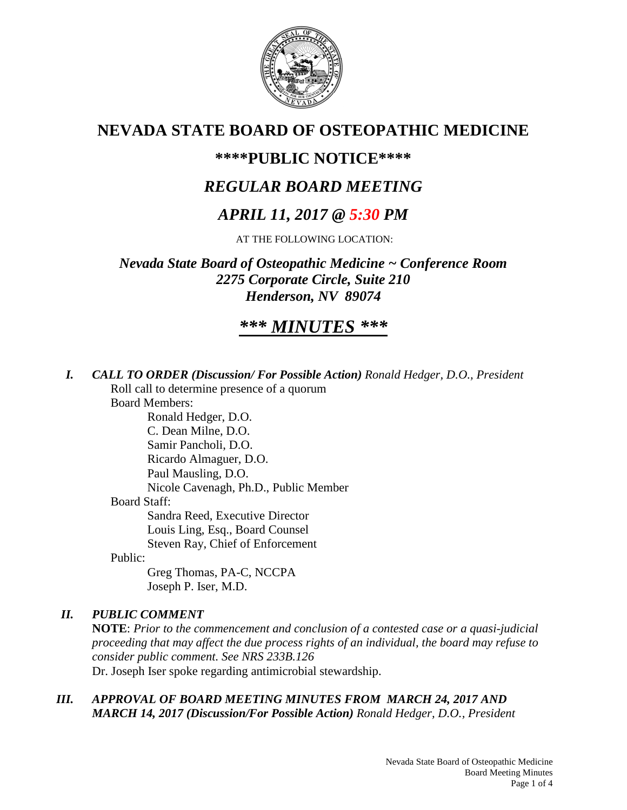

## **NEVADA STATE BOARD OF OSTEOPATHIC MEDICINE**

## **\*\*\*\*PUBLIC NOTICE\*\*\*\***

## *REGULAR BOARD MEETING*

## *APRIL 11, 2017 @ 5:30 PM*

AT THE FOLLOWING LOCATION:

*Nevada State Board of Osteopathic Medicine ~ Conference Room 2275 Corporate Circle, Suite 210 Henderson, NV 89074* 

# *\*\*\* MINUTES \*\*\**

*I. CALL TO ORDER (Discussion/ For Possible Action) Ronald Hedger, D.O., President* Roll call to determine presence of a quorum Board Members: Ronald Hedger, D.O.

C. Dean Milne, D.O. Samir Pancholi, D.O. Ricardo Almaguer, D.O. Paul Mausling, D.O. Nicole Cavenagh, Ph.D., Public Member Board Staff: Sandra Reed, Executive Director Louis Ling, Esq., Board Counsel Steven Ray, Chief of Enforcement

Public:

 Greg Thomas, PA-C, NCCPA Joseph P. Iser, M.D.

### *II. PUBLIC COMMENT*

**NOTE**: *Prior to the commencement and conclusion of a contested case or a quasi-judicial proceeding that may affect the due process rights of an individual, the board may refuse to consider public comment. See NRS 233B.126*  Dr. Joseph Iser spoke regarding antimicrobial stewardship.

### *III. APPROVAL OF BOARD MEETING MINUTES FROM MARCH 24, 2017 AND MARCH 14, 2017 (Discussion/For Possible Action) Ronald Hedger, D.O., President*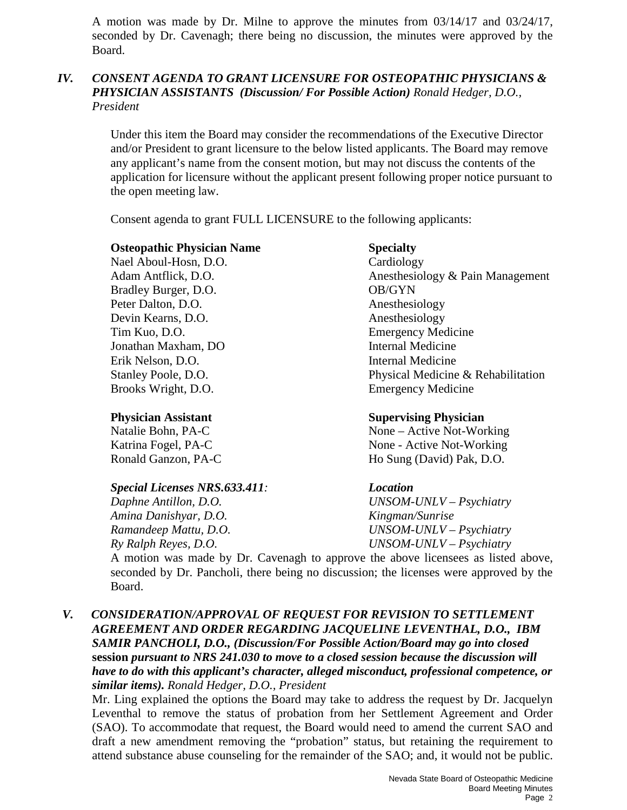A motion was made by Dr. Milne to approve the minutes from 03/14/17 and 03/24/17, seconded by Dr. Cavenagh; there being no discussion, the minutes were approved by the Board.

#### *IV. CONSENT AGENDA TO GRANT LICENSURE FOR OSTEOPATHIC PHYSICIANS & PHYSICIAN ASSISTANTS (Discussion/ For Possible Action) Ronald Hedger, D.O., President*

Under this item the Board may consider the recommendations of the Executive Director and/or President to grant licensure to the below listed applicants. The Board may remove any applicant's name from the consent motion, but may not discuss the contents of the application for licensure without the applicant present following proper notice pursuant to the open meeting law.

Consent agenda to grant FULL LICENSURE to the following applicants:

#### **Osteopathic Physician Name Specialty**

Nael Aboul-Hosn, D.O. Cardiology Bradley Burger, D.O. **OB/GYN** Peter Dalton, D.O. Anesthesiology Devin Kearns, D.O. Anesthesiology Tim Kuo, D.O. Emergency Medicine Jonathan Maxham, DO Internal Medicine Erik Nelson, D.O. Internal Medicine Brooks Wright, D.O. Emergency Medicine

#### *Special Licenses NRS.633.411: Location*

*Amina Danishyar, D.O. Kingman/Sunrise Ry Ralph Reyes, D.O. UNSOM-UNLV – Psychiatry* 

Adam Antflick, D.O. Anesthesiology & Pain Management Stanley Poole, D.O. **Physical Medicine & Rehabilitation** 

#### **Physician Assistant Supervising Physician**

Natalie Bohn, PA-C None – Active Not-Working Katrina Fogel, PA-C None - Active Not-Working Ronald Ganzon, PA-C Ho Sung (David) Pak, D.O.

*Daphne Antillon, D.O. UNSOM-UNLV – Psychiatry Ramandeep Mattu, D.O. UNSOM-UNLV – Psychiatry* 

A motion was made by Dr. Cavenagh to approve the above licensees as listed above, seconded by Dr. Pancholi, there being no discussion; the licenses were approved by the Board.

*V. CONSIDERATION/APPROVAL OF REQUEST FOR REVISION TO SETTLEMENT AGREEMENT AND ORDER REGARDING JACQUELINE LEVENTHAL, D.O., IBM SAMIR PANCHOLI, D.O., (Discussion/For Possible Action/Board may go into closed*  **session** *pursuant to NRS 241.030 to move to a closed session because the discussion will have to do with this applicant's character, alleged misconduct, professional competence, or similar items). Ronald Hedger, D.O., President* 

Mr. Ling explained the options the Board may take to address the request by Dr. Jacquelyn Leventhal to remove the status of probation from her Settlement Agreement and Order (SAO). To accommodate that request, the Board would need to amend the current SAO and draft a new amendment removing the "probation" status, but retaining the requirement to attend substance abuse counseling for the remainder of the SAO; and, it would not be public.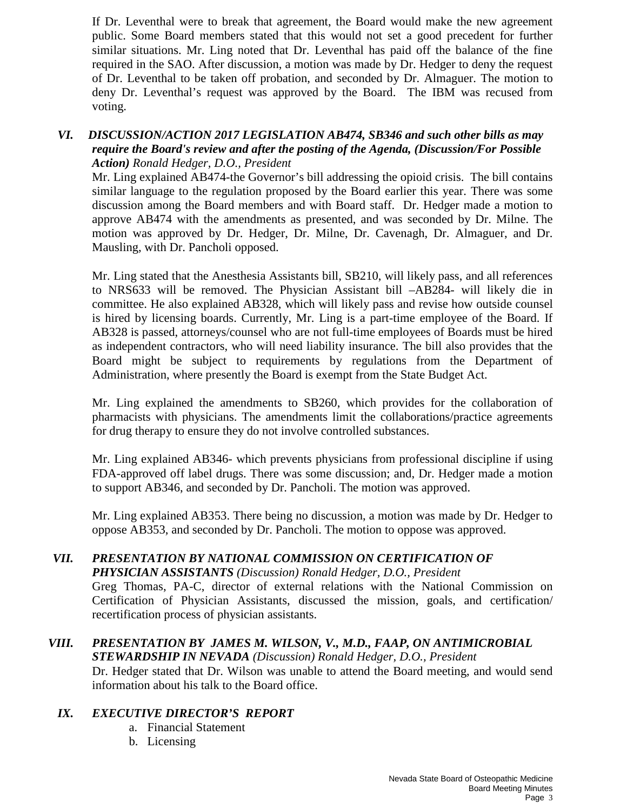If Dr. Leventhal were to break that agreement, the Board would make the new agreement public. Some Board members stated that this would not set a good precedent for further similar situations. Mr. Ling noted that Dr. Leventhal has paid off the balance of the fine required in the SAO. After discussion, a motion was made by Dr. Hedger to deny the request of Dr. Leventhal to be taken off probation, and seconded by Dr. Almaguer. The motion to deny Dr. Leventhal's request was approved by the Board. The IBM was recused from voting.

#### *VI. DISCUSSION/ACTION 2017 LEGISLATION AB474, SB346 and such other bills as may require the Board's review and after the posting of the Agenda, (Discussion/For Possible Action) Ronald Hedger, D.O., President*

Mr. Ling explained AB474-the Governor's bill addressing the opioid crisis. The bill contains similar language to the regulation proposed by the Board earlier this year. There was some discussion among the Board members and with Board staff. Dr. Hedger made a motion to approve AB474 with the amendments as presented, and was seconded by Dr. Milne. The motion was approved by Dr. Hedger, Dr. Milne, Dr. Cavenagh, Dr. Almaguer, and Dr. Mausling, with Dr. Pancholi opposed.

Mr. Ling stated that the Anesthesia Assistants bill, SB210, will likely pass, and all references to NRS633 will be removed. The Physician Assistant bill –AB284- will likely die in committee. He also explained AB328, which will likely pass and revise how outside counsel is hired by licensing boards. Currently, Mr. Ling is a part-time employee of the Board. If AB328 is passed, attorneys/counsel who are not full-time employees of Boards must be hired as independent contractors, who will need liability insurance. The bill also provides that the Board might be subject to requirements by regulations from the Department of Administration, where presently the Board is exempt from the State Budget Act.

Mr. Ling explained the amendments to SB260, which provides for the collaboration of pharmacists with physicians. The amendments limit the collaborations/practice agreements for drug therapy to ensure they do not involve controlled substances.

Mr. Ling explained AB346- which prevents physicians from professional discipline if using FDA-approved off label drugs. There was some discussion; and, Dr. Hedger made a motion to support AB346, and seconded by Dr. Pancholi. The motion was approved.

Mr. Ling explained AB353. There being no discussion, a motion was made by Dr. Hedger to oppose AB353, and seconded by Dr. Pancholi. The motion to oppose was approved.

#### *VII. PRESENTATION BY NATIONAL COMMISSION ON CERTIFICATION OF*

*PHYSICIAN ASSISTANTS (Discussion) Ronald Hedger, D.O., President*  Greg Thomas, PA-C, director of external relations with the National Commission on Certification of Physician Assistants, discussed the mission, goals, and certification/ recertification process of physician assistants.

## *VIII. PRESENTATION BY JAMES M. WILSON, V., M.D., FAAP, ON ANTIMICROBIAL*

*STEWARDSHIP IN NEVADA (Discussion) Ronald Hedger, D.O., President*  Dr. Hedger stated that Dr. Wilson was unable to attend the Board meeting, and would send information about his talk to the Board office.

### *IX. EXECUTIVE DIRECTOR'S REPORT*

- a. Financial Statement
- b. Licensing